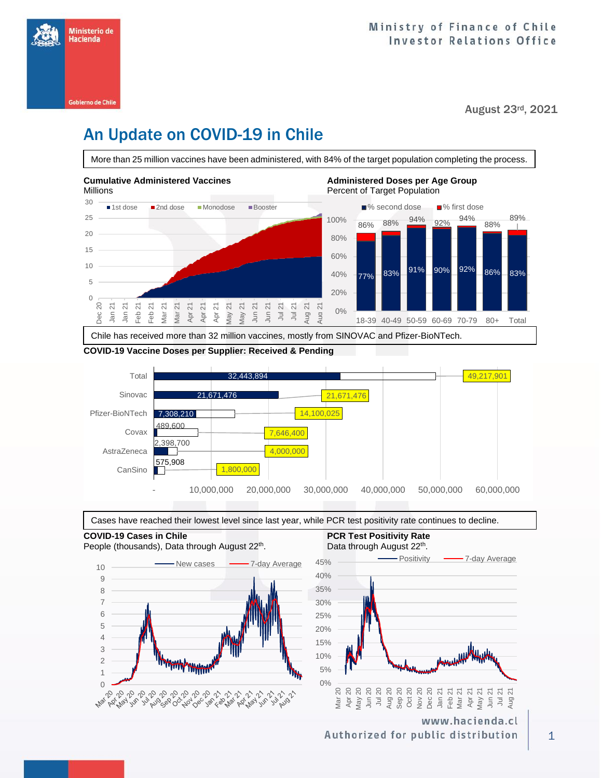

August 23rd, 2021

# An Update on COVID-19 in Chile

More than 25 million vaccines have been administered, with 84% of the target population completing the process.



#### **COVID-19 Vaccine Doses per Supplier: Received & Pending**





### **COVID-19 Cases in Chile PCR Test Positivity Rate PCR Test Positivity Rate**



## . Data through August 22<sup>th</sup>.



www.hacienda.cl Authorized for public distribution